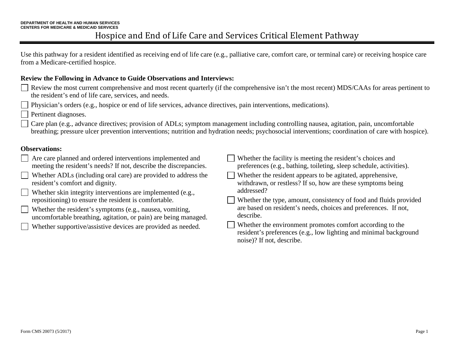Use this pathway for a resident identified as receiving end of life care (e.g., palliative care, comfort care, or terminal care) or receiving hospice care from a Medicare-certified hospice.

#### **Review the Following in Advance to Guide Observations and Interviews:**

- Review the most current comprehensive and most recent quarterly (if the comprehensive isn't the most recent) MDS/CAAs for areas pertinent to the resident's end of life care, services, and needs.
- Physician's orders (e.g., hospice or end of life services, advance directives, pain interventions, medications).
- Pertinent diagnoses.
- Care plan (e.g., advance directives; provision of ADLs; symptom management including controlling nausea, agitation, pain, uncomfortable breathing; pressure ulcer prevention interventions; nutrition and hydration needs; psychosocial interventions; coordination of care with hospice).

#### **Observations:**

| Are care planned and ordered interventions implemented and        | Whether the facility is meeting the resident's choices and                                                                                                  |
|-------------------------------------------------------------------|-------------------------------------------------------------------------------------------------------------------------------------------------------------|
| meeting the resident's needs? If not, describe the discrepancies. | preferences (e.g., bathing, toileting, sleep schedule, activities).                                                                                         |
| Whether ADLs (including oral care) are provided to address the    | Whether the resident appears to be agitated, apprehensive,                                                                                                  |
| resident's comfort and dignity.                                   | withdrawn, or restless? If so, how are these symptoms being                                                                                                 |
| Whether skin integrity interventions are implemented (e.g.,       | addressed?                                                                                                                                                  |
| repositioning) to ensure the resident is comfortable.             | Whether the type, amount, consistency of food and fluids provided                                                                                           |
| Whether the resident's symptoms (e.g., nausea, vomiting,          | are based on resident's needs, choices and preferences. If not,                                                                                             |
| uncomfortable breathing, agitation, or pain) are being managed.   | describe.                                                                                                                                                   |
| Whether supportive/assistive devices are provided as needed.      | Whether the environment promotes comfort according to the<br>resident's preferences (e.g., low lighting and minimal background<br>noise)? If not, describe. |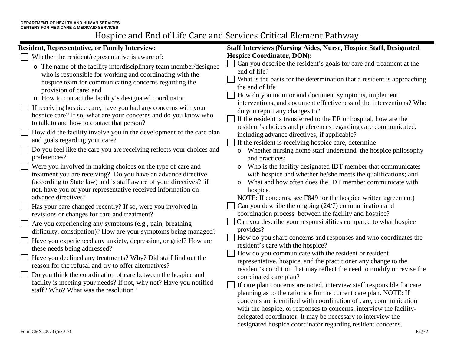| <b>Resident, Representative, or Family Interview:</b>                                                                                                                                                                                                                                                                                                                                                                                                                                                                                                                                                                                                                                                                                                                                                                                                                                | <b>Staff Interviews (Nursing Aides, Nurse, Hospice Staff, Designated</b>                                                                                                                                                                                                                                                                                                                                                                                                                                                                                                                                                                                                                                                                                                                                                                                                                                                                                                                                                                                                                                                                                                            |  |  |
|--------------------------------------------------------------------------------------------------------------------------------------------------------------------------------------------------------------------------------------------------------------------------------------------------------------------------------------------------------------------------------------------------------------------------------------------------------------------------------------------------------------------------------------------------------------------------------------------------------------------------------------------------------------------------------------------------------------------------------------------------------------------------------------------------------------------------------------------------------------------------------------|-------------------------------------------------------------------------------------------------------------------------------------------------------------------------------------------------------------------------------------------------------------------------------------------------------------------------------------------------------------------------------------------------------------------------------------------------------------------------------------------------------------------------------------------------------------------------------------------------------------------------------------------------------------------------------------------------------------------------------------------------------------------------------------------------------------------------------------------------------------------------------------------------------------------------------------------------------------------------------------------------------------------------------------------------------------------------------------------------------------------------------------------------------------------------------------|--|--|
| Whether the resident/representative is aware of:                                                                                                                                                                                                                                                                                                                                                                                                                                                                                                                                                                                                                                                                                                                                                                                                                                     | <b>Hospice Coordinator, DON):</b>                                                                                                                                                                                                                                                                                                                                                                                                                                                                                                                                                                                                                                                                                                                                                                                                                                                                                                                                                                                                                                                                                                                                                   |  |  |
| o The name of the facility interdisciplinary team member/designee<br>who is responsible for working and coordinating with the<br>hospice team for communicating concerns regarding the<br>provision of care; and<br>o How to contact the facility's designated coordinator.<br>If receiving hospice care, have you had any concerns with your                                                                                                                                                                                                                                                                                                                                                                                                                                                                                                                                        | Can you describe the resident's goals for care and treatment at the<br>end of life?<br>What is the basis for the determination that a resident is approaching<br>the end of life?<br>How do you monitor and document symptoms, implement<br>interventions, and document effectiveness of the interventions? Who<br>do you report any changes to?<br>If the resident is transferred to the ER or hospital, how are the<br>resident's choices and preferences regarding care communicated,<br>including advance directives, if applicable?<br>If the resident is receiving hospice care, determine:<br>Whether nursing home staff understand the hospice philosophy<br>and practices;<br>Who is the facility designated IDT member that communicates                                                                                                                                                                                                                                                                                                                                                                                                                                  |  |  |
| hospice care? If so, what are your concerns and do you know who<br>to talk to and how to contact that person?<br>How did the facility involve you in the development of the care plan<br>and goals regarding your care?<br>Do you feel like the care you are receiving reflects your choices and<br>preferences?<br>Were you involved in making choices on the type of care and                                                                                                                                                                                                                                                                                                                                                                                                                                                                                                      |                                                                                                                                                                                                                                                                                                                                                                                                                                                                                                                                                                                                                                                                                                                                                                                                                                                                                                                                                                                                                                                                                                                                                                                     |  |  |
| treatment you are receiving? Do you have an advance directive<br>(according to State law) and is staff aware of your directives? if<br>not, have you or your representative received information on<br>advance directives?<br>Has your care changed recently? If so, were you involved in<br>revisions or changes for care and treatment?<br>Are you experiencing any symptoms (e.g., pain, breathing<br>difficulty, constipation)? How are your symptoms being managed?<br>Have you experienced any anxiety, depression, or grief? How are<br>these needs being addressed?<br>Have you declined any treatments? Why? Did staff find out the<br>reason for the refusal and try to offer alternatives?<br>Do you think the coordination of care between the hospice and<br>facility is meeting your needs? If not, why not? Have you notified<br>staff? Who? What was the resolution? | with hospice and whether he/she meets the qualifications; and<br>What and how often does the IDT member communicate with<br>$\circ$<br>hospice.<br>NOTE: If concerns, see F849 for the hospice written agreement)<br>Can you describe the ongoing $(24/7)$ communication and<br>coordination process between the facility and hospice?<br>Can you describe your responsibilities compared to what hospice<br>provides?<br>How do you share concerns and responses and who coordinates the<br>resident's care with the hospice?<br>How do you communicate with the resident or resident<br>representative, hospice, and the practitioner any change to the<br>resident's condition that may reflect the need to modify or revise the<br>coordinated care plan?<br>If care plan concerns are noted, interview staff responsible for care<br>planning as to the rationale for the current care plan. NOTE: If<br>concerns are identified with coordination of care, communication<br>with the hospice, or responses to concerns, interview the facility-<br>delegated coordinator. It may be necessary to interview the<br>designated hospice coordinator regarding resident concerns. |  |  |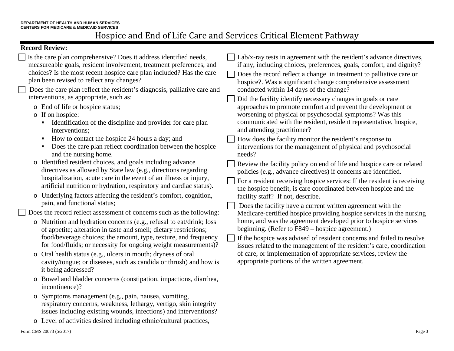### **Record Review:**

|                                                                       | Is the care plan comprehensive? Does it address identified needs,<br>measureable goals, resident involvement, treatment preferences, and<br>choices? Is the most recent hospice care plan included? Has the care<br>plan been revised to reflect any changes?<br>Does the care plan reflect the resident's diagnosis, palliative care and<br>interventions, as appropriate, such as: |                                                                                                                                     | Lab/x-ray tests in agreement with the resident's advance directives,<br>if any, including choices, preferences, goals, comfort, and dignity?<br>Does the record reflect a change in treatment to palliative care or<br>hospice?. Was a significant change comprehensive assessment<br>conducted within 14 days of the change?<br>Did the facility identify necessary changes in goals or care |  |
|-----------------------------------------------------------------------|--------------------------------------------------------------------------------------------------------------------------------------------------------------------------------------------------------------------------------------------------------------------------------------------------------------------------------------------------------------------------------------|-------------------------------------------------------------------------------------------------------------------------------------|-----------------------------------------------------------------------------------------------------------------------------------------------------------------------------------------------------------------------------------------------------------------------------------------------------------------------------------------------------------------------------------------------|--|
|                                                                       | o End of life or hospice status;<br>o If on hospice:<br>Identification of the discipline and provider for care plan<br>٠<br>interventions;                                                                                                                                                                                                                                           |                                                                                                                                     | approaches to promote comfort and prevent the development or<br>worsening of physical or psychosocial symptoms? Was this<br>communicated with the resident, resident representative, hospice,<br>and attending practitioner?                                                                                                                                                                  |  |
|                                                                       | How to contact the hospice 24 hours a day; and<br>$\blacksquare$<br>Does the care plan reflect coordination between the hospice<br>٠<br>and the nursing home.                                                                                                                                                                                                                        |                                                                                                                                     | How does the facility monitor the resident's response to<br>interventions for the management of physical and psychosocial<br>needs?                                                                                                                                                                                                                                                           |  |
|                                                                       | o Identified resident choices, and goals including advance<br>directives as allowed by State law (e.g., directions regarding<br>hospitalization, acute care in the event of an illness or injury,<br>artificial nutrition or hydration, respiratory and cardiac status).                                                                                                             |                                                                                                                                     | Review the facility policy on end of life and hospice care or related<br>policies (e.g., advance directives) if concerns are identified.<br>For a resident receiving hospice services: If the resident is receiving                                                                                                                                                                           |  |
|                                                                       | o Underlying factors affecting the resident's comfort, cognition,<br>pain, and functional status;                                                                                                                                                                                                                                                                                    | the hospice benefit, is care coordinated between hospice and the<br>facility staff? If not, describe.                               |                                                                                                                                                                                                                                                                                                                                                                                               |  |
| Does the record reflect assessment of concerns such as the following: |                                                                                                                                                                                                                                                                                                                                                                                      | Does the facility have a current written agreement with the<br>Medicare-certified hospice providing hospice services in the nursing |                                                                                                                                                                                                                                                                                                                                                                                               |  |
|                                                                       | o Nutrition and hydration concerns (e.g., refusal to eat/drink; loss<br>of appetite; alteration in taste and smell; dietary restrictions;                                                                                                                                                                                                                                            |                                                                                                                                     | home, and was the agreement developed prior to hospice services<br>beginning. (Refer to F849 – hospice agreement.)                                                                                                                                                                                                                                                                            |  |
|                                                                       | food/beverage choices; the amount, type, texture, and frequency<br>for food/fluids; or necessity for ongoing weight measurements)?                                                                                                                                                                                                                                                   |                                                                                                                                     | If the hospice was advised of resident concerns and failed to resolve<br>issues related to the management of the resident's care, coordination                                                                                                                                                                                                                                                |  |
|                                                                       | o Oral health status (e.g., ulcers in mouth; dryness of oral<br>cavity/tongue; or diseases, such as candida or thrush) and how is<br>it being addressed?                                                                                                                                                                                                                             |                                                                                                                                     | of care, or implementation of appropriate services, review the<br>appropriate portions of the written agreement.                                                                                                                                                                                                                                                                              |  |
|                                                                       | o Bowel and bladder concerns (constipation, impactions, diarrhea,<br>incontinence)?                                                                                                                                                                                                                                                                                                  |                                                                                                                                     |                                                                                                                                                                                                                                                                                                                                                                                               |  |
|                                                                       | $Symntome$ monogament (e.g. noin, nouses, vemiting                                                                                                                                                                                                                                                                                                                                   |                                                                                                                                     |                                                                                                                                                                                                                                                                                                                                                                                               |  |

- o Symptoms management (e.g., pain, nausea, vomiting, respiratory concerns, weakness, lethargy, vertigo, skin integrity issues including existing wounds, infections) and interventions?
- o Level of activities desired including ethnic/cultural practices,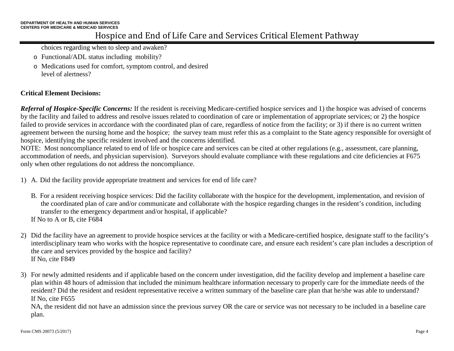choices regarding when to sleep and awaken?

- o Functional/ADL status including mobility?
- o Medications used for comfort, symptom control, and desired level of alertness?

### **Critical Element Decisions:**

*Referral of Hospice-Specific Concerns:* If the resident is receiving Medicare-certified hospice services and 1) the hospice was advised of concerns by the facility and failed to address and resolve issues related to coordination of care or implementation of appropriate services; or 2) the hospice failed to provide services in accordance with the coordinated plan of care, regardless of notice from the facility; or 3) if there is no current written agreement between the nursing home and the hospice; the survey team must refer this as a complaint to the State agency responsible for oversight of hospice, identifying the specific resident involved and the concerns identified.

NOTE: Most noncompliance related to end of life or hospice care and services can be cited at other regulations (e.g., assessment, care planning, accommodation of needs, and physician supervision). Surveyors should evaluate compliance with these regulations and cite deficiencies at F675 only when other regulations do not address the noncompliance.

- 1) A. Did the facility provide appropriate treatment and services for end of life care?
	- B. For a resident receiving hospice services: Did the facility collaborate with the hospice for the development, implementation, and revision of the coordinated plan of care and/or communicate and collaborate with the hospice regarding changes in the resident's condition, including transfer to the emergency department and/or hospital, if applicable?

If No to A or B, cite F684

- 2) Did the facility have an agreement to provide hospice services at the facility or with a Medicare-certified hospice, designate staff to the facility's interdisciplinary team who works with the hospice representative to coordinate care, and ensure each resident's care plan includes a description of the care and services provided by the hospice and facility? If No, cite F849
- 3) For newly admitted residents and if applicable based on the concern under investigation, did the facility develop and implement a baseline care plan within 48 hours of admission that included the minimum healthcare information necessary to properly care for the immediate needs of the resident? Did the resident and resident representative receive a written summary of the baseline care plan that he/she was able to understand? If No, cite F655

NA, the resident did not have an admission since the previous survey OR the care or service was not necessary to be included in a baseline care plan.